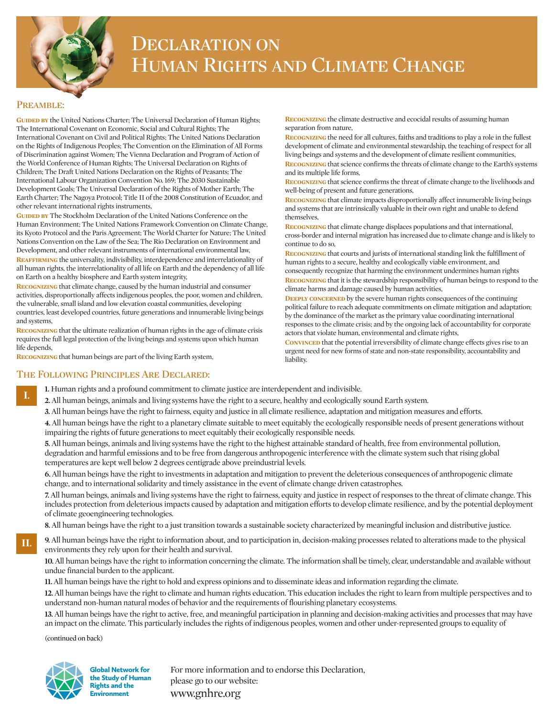

## Declaration on HUMAN RIGHTS AND CLIMATE CHANGE

## PREAMBLE:

**I.**

**II.**

**GUIDED BY** the United Nations Charter; The Universal Declaration of Human Rights; The International Covenant on Economic, Social and Cultural Rights; The International Covenant on Civil and Political Rights; The United Nations Declaration on the Rights of Indigenous Peoples; The Convention on the Elimination of All Forms of Discrimination against Women; The Vienna Declaration and Program of Action of the World Conference of Human Rights; The Universal Declaration on Rights of Children; The Draft United Nations Declaration on the Rights of Peasants; The International Labour Organization Convention No. 169; The 2030 Sustainable Development Goals; The Universal Declaration of the Rights of Mother Earth; The Earth Charter; The Nagoya Protocol; Title II of the 2008 Constitution of Ecuador, and other relevant international rights instruments,

**GUIDED BY** The Stockholm Declaration of the United Nations Conference on the Human Environment; The United Nations Framework Convention on Climate Change, its Kyoto Protocol and the Paris Agreement; The World Charter for Nature; The United Nations Convention on the Law of the Sea; The Rio Declaration on Environment and Development, and other relevant instruments of international environmental law,

**REAFFIRMING** the universality, indivisibility, interdependence and interrelationality of all human rights, the interrelationality of all life on Earth and the dependency of all life on Earth on a healthy biosphere and Earth system integrity,

**Recognizing** that climate change, caused by the human industrial and consumer activities, disproportionally affects indigenous peoples, the poor, women and children, the vulnerable, small island and low elevation coastal communities, developing countries, least developed countries, future generations and innumerable living beings and systems,

**Recognizing** that the ultimate realization of human rights in the age of climate crisis requires the full legal protection of the living beings and systems upon which human life depends,

**Recognizing** that human beings are part of the living Earth system,

**Recognizing** the climate destructive and ecocidal results of assuming human separation from nature.

**Recognizing** the need for all cultures, faiths and traditions to play a role in the fullest development of climate and environmental stewardship, the teaching of respect for all living beings and systems and the development of climate resilient communities,

**Recognizing** that science confirms the threats of climate change to the Earth's systems and its multiple life forms,

**Recognizing** that science confirms the threat of climate change to the livelihoods and well-being of present and future generations,

**Recognizing** that climate impacts disproportionally affect innumerable living beings and systems that are intrinsically valuable in their own right and unable to defend themselves,

**Recognizing** that climate change displaces populations and that international, cross-border and internal migration has increased due to climate change and is likely to continue to do so,

**Recognizing** that courts and jurists of international standing link the fulfillment of human rights to a secure, healthy and ecologically viable environment, and consequently recognize that harming the environment undermines human rights **Recognizing** that it is the stewardship responsibility of human beings to respond to the climate harms and damage caused by human activities,

**DEEPLY CONCERNED** by the severe human rights consequences of the continuing political failure to reach adequate commitments on climate mitigation and adaptation; by the dominance of the market as the primary value coordinating international responses to the climate crisis; and by the ongoing lack of accountability for corporate actors that violate human, environmental and climate rights,

**CONVINCED** that the potential irreversibility of climate change effects gives rise to an urgent need for new forms of state and non-state responsibility, accountability and liability.

## The Following Principles Are Declared:

**1.** Human rights and a profound commitment to climate justice are interdependent and indivisible.

- **2.** All human beings, animals and living systems have the right to a secure, healthy and ecologically sound Earth system.
	- **3.** All human beings have the right to fairness, equity and justice in all climate resilience, adaptation and mitigation measures and efforts.

**4.** All human beings have the right to a planetary climate suitable to meet equitably the ecologically responsible needs of present generations without impairing the rights of future generations to meet equitably their ecologically responsible needs.

**5.** All human beings, animals and living systems have the right to the highest attainable standard of health, free from environmental pollution, degradation and harmful emissions and to be free from dangerous anthropogenic interference with the climate system such that rising global temperatures are kept well below 2 degrees centigrade above preindustrial levels.

**6.** All human beings have the right to investments in adaptation and mitigation to prevent the deleterious consequences of anthropogenic climate change, and to international solidarity and timely assistance in the event of climate change driven catastrophes.

**7.** All human beings, animals and living systems have the right to fairness, equity and justice in respect of responses to the threat of climate change. This includes protection from deleterious impacts caused by adaptation and mitigation efforts to develop climate resilience, and by the potential deployment of climate geoengineering technologies.

**8.** All human beings have the right to a just transition towards a sustainable society characterized by meaningful inclusion and distributive justice.

**9.** All human beings have the right to information about, and to participation in, decision-making processes related to alterations made to the physical environments they rely upon for their health and survival.

**10.** All human beings have the right to information concerning the climate. The information shall be timely, clear, understandable and available without undue financial burden to the applicant.

**11.** All human beings have the right to hold and express opinions and to disseminate ideas and information regarding the climate.

**12.** All human beings have the right to climate and human rights education. This education includes the right to learn from multiple perspectives and to understand non-human natural modes of behavior and the requirements of flourishing planetary ecosystems.

**13.** All human beings have the right to active, free, and meaningful participation in planning and decision-making activities and processes that may have an impact on the climate. This particularly includes the rights of indigenous peoples, women and other under-represented groups to equality of

(continued on back)



Global Network for the Study of Human Rights and the Environment

For more information and to endorse this Declaration, please go to our website: www.gnhre.org